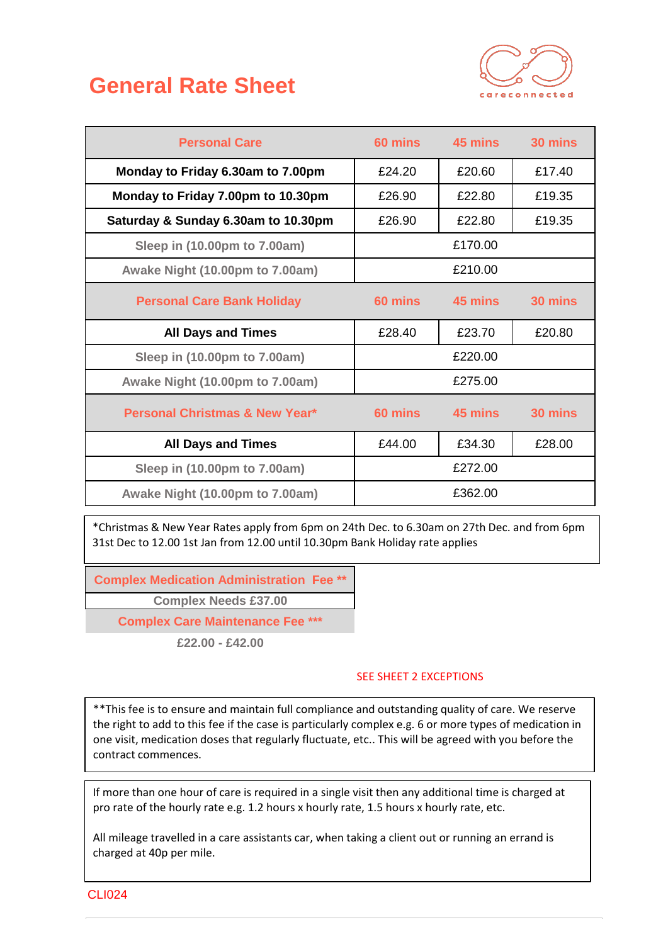## **General Rate Sheet**



| <b>Personal Care</b>                      | 60 mins | 45 mins | 30 mins |
|-------------------------------------------|---------|---------|---------|
| Monday to Friday 6.30am to 7.00pm         | £24.20  | £20.60  | £17.40  |
| Monday to Friday 7.00pm to 10.30pm        | £26.90  | £22.80  | £19.35  |
| Saturday & Sunday 6.30am to 10.30pm       | £26.90  | £22.80  | £19.35  |
| Sleep in (10.00pm to 7.00am)              |         | £170.00 |         |
| Awake Night (10.00pm to 7.00am)           |         | £210.00 |         |
| <b>Personal Care Bank Holiday</b>         | 60 mins | 45 mins | 30 mins |
| <b>All Days and Times</b>                 | £28.40  | £23.70  | £20.80  |
| Sleep in (10.00pm to 7.00am)              |         | £220.00 |         |
| Awake Night (10.00pm to 7.00am)           |         | £275.00 |         |
| <b>Personal Christmas &amp; New Year*</b> | 60 mins | 45 mins | 30 mins |
| <b>All Days and Times</b>                 | £44.00  | £34.30  | £28.00  |
| Sleep in (10.00pm to 7.00am)              |         | £272.00 |         |
| Awake Night (10.00pm to 7.00am)           |         | £362.00 |         |

\*Christmas & New Year Rates apply from 6pm on 24th Dec. to 6.30am on 27th Dec. and from 6pm 31st Dec to 12.00 1st Jan from 12.00 until 10.30pm Bank Holiday rate applies

**Complex Medication Administration Fee \*\***

**Complex Needs £37.00**

**Complex Care Maintenance Fee \*\*\***

**£22.00 - £42.00**

## SEE SHEET 2 EXCEPTIONS

\*\*This fee is to ensure and maintain full compliance and outstanding quality of care. We reserve the right to add to this fee if the case is particularly complex e.g. 6 or more types of medication in one visit, medication doses that regularly fluctuate, etc.. This will be agreed with you before the contract commences.

If more than one hour of care is required in a single visit then any additional time is charged at pro rate of the hourly rate e.g. 1.2 hours x hourly rate, 1.5 hours x hourly rate, etc.

All mileage travelled in a care assistants car, when taking a client out or running an errand is charged at 40p per mile.

CLI024